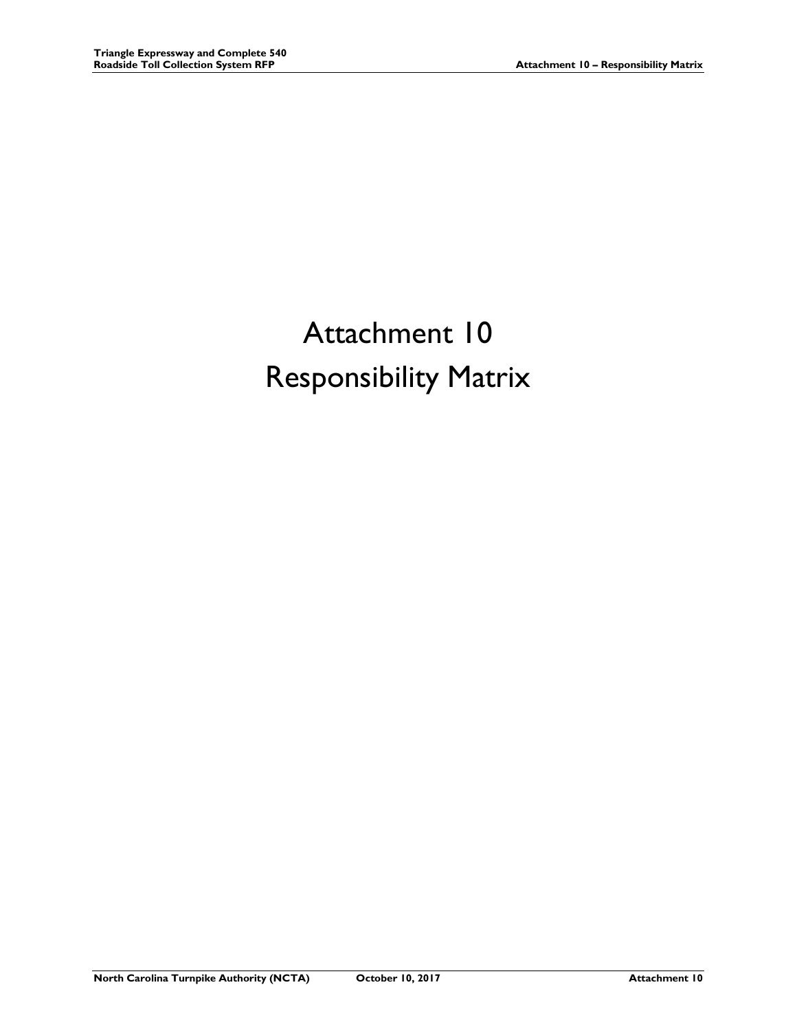# Attachment 10 Responsibility Matrix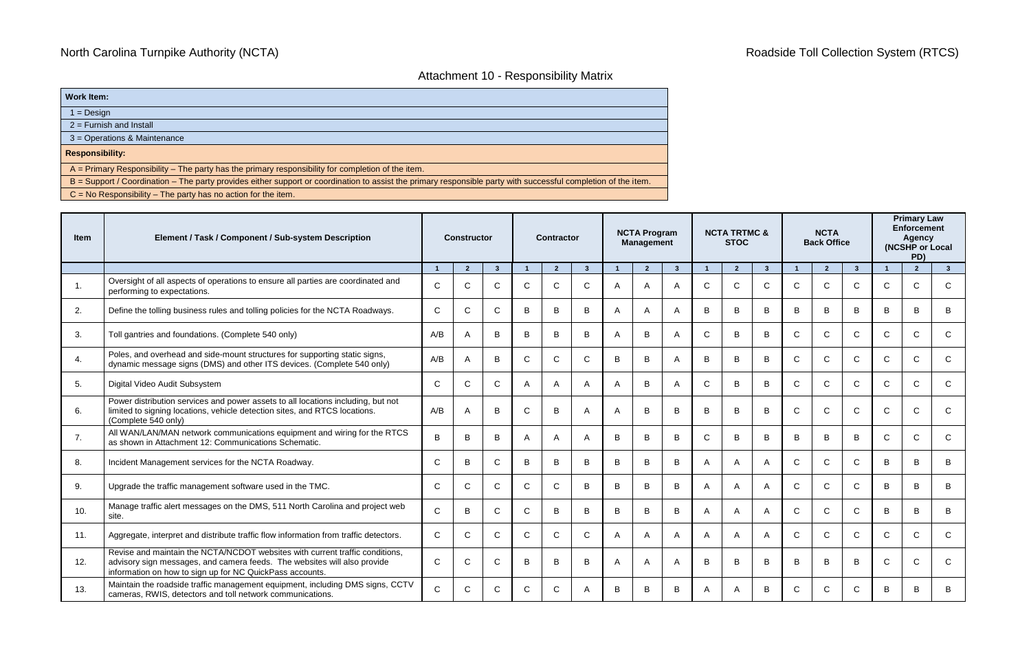### Attachment 10 - Responsibility Matrix

**Work Item:**

1 = Design

2 = Furnish and Install

3 = Operations & Maintenance

**Responsibility:**

A = Primary Responsibility – The party has the primary responsibility for completion of the item.

B = Support / Coordination – The party provides either support or coordination to assist the primary responsible party with successful completion of the item.

C = No Responsibility – The party has no action for the item.

| Item | Element / Task / Component / Sub-system Description                                                                                                                                                                  |                | <b>Constructor</b> |                |              | <b>Contractor</b> |                | <b>NCTA Program</b><br><b>Management</b> |                |                         |                | <b>NCTA TRTMC &amp;</b><br><b>STOC</b> |                |              | <b>NCTA</b><br><b>Back Office</b> |                | <b>Primary Law</b><br><b>Enforcement</b><br><b>Agency</b><br>(NCSHP or Local<br>PD) |                |                |
|------|----------------------------------------------------------------------------------------------------------------------------------------------------------------------------------------------------------------------|----------------|--------------------|----------------|--------------|-------------------|----------------|------------------------------------------|----------------|-------------------------|----------------|----------------------------------------|----------------|--------------|-----------------------------------|----------------|-------------------------------------------------------------------------------------|----------------|----------------|
|      |                                                                                                                                                                                                                      | $\overline{1}$ | $\overline{2}$     | 3 <sup>2</sup> |              | $\overline{2}$    | $\mathbf{3}$   |                                          | $\overline{2}$ | $\overline{\mathbf{3}}$ |                | $\overline{2}$                         | $\mathbf{3}$   |              | $\overline{2}$                    | 3 <sup>5</sup> | $\blacktriangleleft$                                                                | $\overline{2}$ | 3 <sup>1</sup> |
|      | Oversight of all aspects of operations to ensure all parties are coordinated and<br>performing to expectations.                                                                                                      | $\mathsf{C}$   | C                  | $\mathsf{C}$   | C            | $\mathsf{C}$      | $\mathsf{C}$   | A                                        | $\mathsf{A}$   | A                       | $\mathsf{C}$   | C                                      | $\mathsf{C}$   | $\mathsf{C}$ | $\mathsf{C}$                      | C              | $\mathsf{C}$                                                                        | C              | $\mathsf{C}$   |
| 2.   | Define the tolling business rules and tolling policies for the NCTA Roadways.                                                                                                                                        | $\mathsf{C}$   | C                  | $\mathsf{C}$   | B            | B                 | B              | A                                        | $\overline{A}$ | A                       | B              | B                                      | B              | B            | B                                 | B              | B                                                                                   | <sub>R</sub>   | B              |
| 3.   | Toll gantries and foundations. (Complete 540 only)                                                                                                                                                                   | A/B            | A                  | B              | B            | B                 | B              | A                                        | B              | A                       | $\mathsf{C}$   | B                                      | B              | $\mathsf{C}$ | $\mathsf{C}$                      | $\mathsf{C}$   | $\mathsf{C}$                                                                        | $\mathsf{C}$   | $\mathsf{C}$   |
| 4.   | Poles, and overhead and side-mount structures for supporting static signs,<br>dynamic message signs (DMS) and other ITS devices. (Complete 540 only)                                                                 | A/B            |                    | B              | C            | C                 | $\mathsf{C}$   | B                                        | B              | A                       | B              | B                                      | B              | $\mathsf{C}$ | $\mathsf{C}$                      | C              | C                                                                                   | C              | C              |
| 5.   | Digital Video Audit Subsystem                                                                                                                                                                                        | $\mathsf{C}$   | $\mathsf{C}$       | $\mathsf{C}$   | A            | A                 | $\overline{A}$ | A                                        | B              | A                       | $\mathsf{C}$   | B                                      | B              | $\mathsf{C}$ | $\mathsf{C}$                      | C              | $\mathsf{C}$                                                                        | $\mathsf{C}$   | $\mathsf{C}$   |
| 6.   | Power distribution services and power assets to all locations including, but not<br>limited to signing locations, vehicle detection sites, and RTCS locations.<br>(Complete 540 only)                                | A/B            |                    | B              | $\mathsf{C}$ | B                 | A              | A                                        | B              | B                       | B              | B                                      | B              | $\mathsf{C}$ | $\mathsf{C}$                      | C              | $\mathsf{C}$                                                                        |                | $\mathsf{C}$   |
| 7.   | All WAN/LAN/MAN network communications equipment and wiring for the RTCS<br>as shown in Attachment 12: Communications Schematic.                                                                                     | B              | B                  | B              | A            | $\mathsf{A}$      | $\mathsf{A}$   | B                                        | B              | B                       | $\mathsf{C}$   | B                                      | B              | B            | B                                 | B              | $\mathsf{C}$                                                                        | C              | $\mathsf{C}$   |
| 8.   | Incident Management services for the NCTA Roadway.                                                                                                                                                                   | $\mathsf{C}$   | B                  | $\mathsf{C}$   | B            | B                 | B              | B                                        | B              | B                       | A              |                                        | A              | $\mathsf{C}$ | $\mathsf{C}$                      | C              | B                                                                                   | B              | B              |
| 9.   | Upgrade the traffic management software used in the TMC.                                                                                                                                                             | $\mathsf{C}$   | $\mathsf{C}$       | $\mathsf{C}$   | $\mathsf{C}$ | $\mathsf{C}$      | B              | B                                        | B              | B                       | $\overline{A}$ | A                                      | $\overline{A}$ | $\mathsf{C}$ | $\mathsf{C}$                      | C              | B                                                                                   | <sub>R</sub>   | B              |
| 10.  | Manage traffic alert messages on the DMS, 511 North Carolina and project web<br>site.                                                                                                                                | $\mathsf{C}$   | B                  | $\mathsf{C}$   | $\mathsf{C}$ | B                 | B              | B                                        | B              | B                       | $\overline{A}$ | A                                      | A              | $\mathsf{C}$ | $\mathsf{C}$                      | C              | B                                                                                   | <sub>R</sub>   | B              |
| 11.  | Aggregate, interpret and distribute traffic flow information from traffic detectors.                                                                                                                                 | $\mathsf{C}$   | $\Omega$           | $\mathsf{C}$   | C            | C                 | $\mathsf{C}$   | A                                        | $\mathsf{A}$   | A                       | A              |                                        | A              | C.           | $\mathsf{C}$                      | C              | $\mathsf{C}$                                                                        | C              | $\mathsf{C}$   |
| 12.  | Revise and maintain the NCTA/NCDOT websites with current traffic conditions,<br>advisory sign messages, and camera feeds. The websites will also provide<br>information on how to sign up for NC QuickPass accounts. | $\mathsf{C}$   | $\mathsf{C}$       | $\mathsf{C}$   | B            | B                 | B              | A                                        | $\mathsf{A}$   | A                       | B              | B                                      | B              | B            | B                                 | B              | $\mathsf{C}$                                                                        | $\mathsf{C}$   | $\mathsf{C}$   |
| 13.  | Maintain the roadside traffic management equipment, including DMS signs, CCTV<br>cameras, RWIS, detectors and toll network communications.                                                                           | $\mathsf{C}$   | C                  | C              | C            | $\mathcal{C}$     | А              | B                                        | B              | B                       | A              | А                                      | B              | C.           | $\mathcal{C}$                     | C              | B                                                                                   | B              | B              |

### North Carolina Turnpike Authority (NCTA) **Roadside Toll Collection System (RTCS)** Roadside Toll Collection System (RTCS)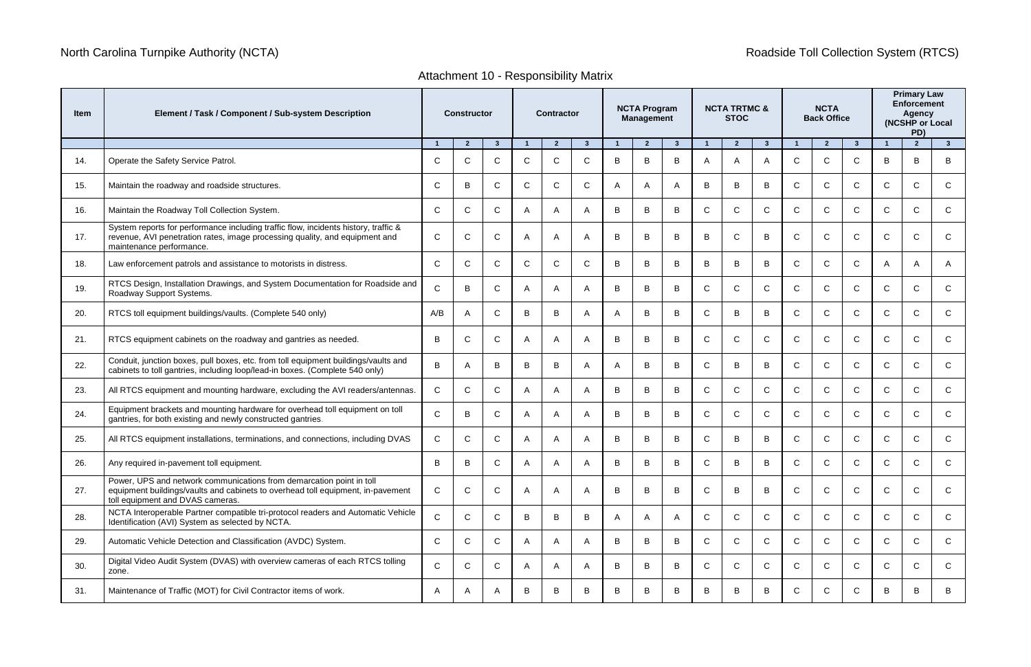| Item | Element / Task / Component / Sub-system Description                                                                                                                                            |              | <b>Constructor</b> |              |                         | <b>Contractor</b> |                |   | <b>NCTA Program</b><br><b>Management</b> |              |              | <b>NCTA TRTMC &amp;</b><br><b>STOC</b> |                |              | <b>NCTA</b><br><b>Back Office</b> |               | <b>Primary Law</b><br><b>Enforcement</b><br>Agency<br>(NCSHP or Local<br>PD) |                |                |
|------|------------------------------------------------------------------------------------------------------------------------------------------------------------------------------------------------|--------------|--------------------|--------------|-------------------------|-------------------|----------------|---|------------------------------------------|--------------|--------------|----------------------------------------|----------------|--------------|-----------------------------------|---------------|------------------------------------------------------------------------------|----------------|----------------|
|      |                                                                                                                                                                                                |              | $\overline{2}$     | $3^{\circ}$  | $\overline{\mathbf{1}}$ | $\overline{2}$    | $\mathbf{3}$   |   | $\overline{2}$                           | $\mathbf{3}$ | -1           | $\overline{2}$                         | 3 <sup>5</sup> |              | $\overline{2}$                    | $\mathbf{3}$  | -1                                                                           | $\overline{2}$ | 3 <sup>1</sup> |
| 14.  | Operate the Safety Service Patrol.                                                                                                                                                             | $\mathsf{C}$ | $\mathsf{C}$       | $\mathsf{C}$ | $\mathsf{C}$            | $\mathsf{C}$      | C              | B | B                                        | B            | A            | A                                      | A              | C.           | $\mathsf{C}$                      | C             | B                                                                            | B              | B              |
| 15.  | Maintain the roadway and roadside structures.                                                                                                                                                  | $\mathsf{C}$ | B                  | $\mathsf{C}$ | $\mathsf{C}$            | $\mathsf{C}$      | $\mathsf{C}$   | A | A                                        | A            | B            | B                                      | B              | $\mathsf{C}$ | $\mathsf{C}$                      | $\mathsf{C}$  | $\mathsf{C}$                                                                 | $\mathsf{C}$   | $\mathsf{C}$   |
| 16.  | Maintain the Roadway Toll Collection System.                                                                                                                                                   | $\mathsf{C}$ | C                  | $\mathsf{C}$ | $\mathsf{A}$            | A                 | A              | B | B                                        | B            | $\mathsf{C}$ | C                                      | $\mathsf{C}$   | C            | $\mathsf{C}$                      | C             | $\mathsf{C}$                                                                 | C              | $\mathsf{C}$   |
| 17.  | System reports for performance including traffic flow, incidents history, traffic &<br>revenue, AVI penetration rates, image processing quality, and equipment and<br>maintenance performance. | $\mathsf{C}$ | $\mathsf{C}$       | $\mathsf{C}$ | $\overline{A}$          | A                 | A              | B | B                                        | B            | B            | $\mathsf{C}$                           | B              | C            | $\mathsf{C}$                      | $\mathsf{C}$  | $\mathsf{C}$                                                                 | C              | $\mathsf{C}$   |
| 18.  | Law enforcement patrols and assistance to motorists in distress.                                                                                                                               | $\mathsf{C}$ | $\mathsf{C}$       | $\mathsf{C}$ | $\mathsf{C}$            | $\mathsf{C}$      | $\mathsf{C}$   | B | B                                        | B            | B            | B                                      | B              | C            | $\mathsf{C}$                      | $\mathsf{C}$  | A                                                                            |                | A              |
| 19.  | RTCS Design, Installation Drawings, and System Documentation for Roadside and<br>Roadway Support Systems.                                                                                      | $\mathsf{C}$ | B                  | $\mathsf{C}$ | A                       | A                 | A              | B | B                                        | B            | $\mathsf{C}$ | $\mathsf{C}$                           | $\mathsf{C}$   | C            | $\mathsf{C}$                      | $\mathsf{C}$  | $\mathsf{C}$                                                                 | C              | $\mathsf{C}$   |
| 20.  | RTCS toll equipment buildings/vaults. (Complete 540 only)                                                                                                                                      | A/B          | A                  | $\mathsf{C}$ | B                       | B                 | A              | A | B                                        | B            | $\mathsf{C}$ | B                                      | B              | C            | $\mathsf{C}$                      | $\mathsf{C}$  | $\mathsf{C}$                                                                 | C              | $\mathsf C$    |
| 21.  | RTCS equipment cabinets on the roadway and gantries as needed.                                                                                                                                 | B            | $\mathsf{C}$       | $\mathsf{C}$ | $\overline{A}$          |                   | A              | B | B                                        | B            | $\mathsf{C}$ | $\mathsf{C}$                           | $\mathsf{C}$   | $\mathsf{C}$ | $\mathsf{C}$                      | $\mathsf{C}$  | $\mathsf{C}$                                                                 | C              | $\mathsf{C}$   |
| 22.  | Conduit, junction boxes, pull boxes, etc. from toll equipment buildings/vaults and<br>cabinets to toll gantries, including loop/lead-in boxes. (Complete 540 only)                             | B            | A                  | B            | B                       | B                 | A              |   | B                                        | B            | $\mathsf{C}$ | B                                      | B              | C.           | $\mathsf{C}$                      | $\mathsf{C}$  | $\mathsf{C}$                                                                 | C              | $\mathsf{C}$   |
| 23.  | All RTCS equipment and mounting hardware, excluding the AVI readers/antennas.                                                                                                                  | $\mathsf{C}$ | $\mathsf{C}$       | $\mathsf{C}$ | A                       | A                 | A              | B | B                                        | B            | $\mathsf{C}$ | $\mathsf{C}$                           | $\mathsf{C}$   | C            | $\mathsf{C}$                      | $\mathcal{C}$ | $\mathsf{C}$                                                                 | C              | C              |
| 24.  | Equipment brackets and mounting hardware for overhead toll equipment on toll<br>gantries, for both existing and newly constructed gantries.                                                    | $\mathsf{C}$ | B                  | $\mathsf{C}$ | A                       | A                 | A              | B | B                                        | B            | $\mathsf{C}$ | $\mathsf{C}$                           | $\mathsf{C}$   | C            | $\mathsf{C}$                      | $\mathsf{C}$  | $\mathsf{C}$                                                                 | C              | $\mathsf C$    |
| 25.  | All RTCS equipment installations, terminations, and connections, including DVAS                                                                                                                | $\mathsf{C}$ | $\mathsf{C}$       | $\mathsf{C}$ | $\overline{A}$          | A                 | A              | B | B                                        | B            | $\mathsf{C}$ | B                                      | B              | C            | $\mathsf{C}$                      | $\mathsf{C}$  | $\mathsf{C}$                                                                 | C              | $\mathsf{C}$   |
| 26.  | Any required in-pavement toll equipment.                                                                                                                                                       | D.<br>D      | B                  | $\sim$       | A                       | A                 | A              | B | B                                        | D            | $\cap$       | D                                      | B              | $\sim$       | ⌒                                 | $\sim$        | $\sim$                                                                       | $\sim$         |                |
| 27.  | Power, UPS and network communications from demarcation point in toll<br>equipment buildings/vaults and cabinets to overhead toll equipment, in-pavement<br>toll equipment and DVAS cameras.    | $\mathsf{C}$ | $\mathsf{C}$       | $\mathsf{C}$ | A                       | A                 | A              | B | B                                        | B            | $\mathsf{C}$ | B                                      | B              | $\mathsf{C}$ | $\mathsf{C}$                      | $\mathsf{C}$  | $\mathsf{C}$                                                                 | $\mathsf{C}$   | $\mathsf{C}$   |
| 28.  | NCTA Interoperable Partner compatible tri-protocol readers and Automatic Vehicle<br>Identification (AVI) System as selected by NCTA.                                                           | $\mathsf{C}$ | $\mathsf{C}$       | $\mathsf{C}$ | B                       | B                 | B              |   | A                                        | A            | $\mathsf{C}$ | $\mathsf{C}$                           | $\mathsf{C}$   | C            | $\mathsf{C}$                      | $\mathsf{C}$  | $\mathsf{C}$                                                                 | C              | $\mathsf{C}$   |
| 29.  | Automatic Vehicle Detection and Classification (AVDC) System.                                                                                                                                  | $\mathsf{C}$ | $\mathsf{C}$       | $\mathsf{C}$ | $\mathsf{A}$            | A                 | A              | B | B                                        | B            | $\mathsf{C}$ | $\mathsf{C}$                           | $\mathsf{C}$   | $\mathsf{C}$ | $\mathsf{C}$                      | $\mathsf{C}$  | $\mathsf{C}$                                                                 | $\mathsf{C}$   | $\mathsf{C}$   |
| 30.  | Digital Video Audit System (DVAS) with overview cameras of each RTCS tolling<br>zone.                                                                                                          | $\mathsf{C}$ | $\mathsf{C}$       | $\mathsf{C}$ | A                       | A                 | $\overline{A}$ | B | B                                        | B            | $\mathsf{C}$ | $\mathsf{C}$                           | $\mathsf{C}$   | $\mathsf{C}$ | $\mathsf{C}$                      | $\mathsf{C}$  | $\mathsf{C}$                                                                 | $\mathsf{C}$   | $\mathsf{C}$   |
| 31.  | Maintenance of Traffic (MOT) for Civil Contractor items of work.                                                                                                                               | A            | A                  | A            | B                       | B                 | B              | B | B                                        | B            | B            | B                                      | B              | $\mathsf{C}$ | $\mathsf{C}$                      | $\mathsf{C}$  | B                                                                            | B              | B              |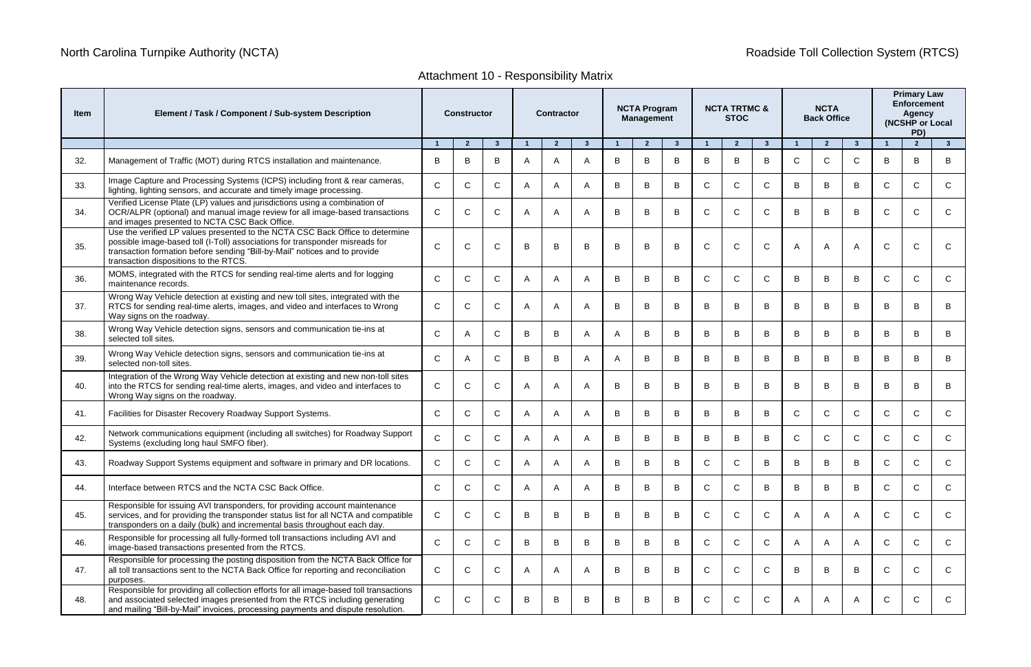| ٠<br>×<br>M. |
|--------------|
|--------------|

## Attachment 10 - Responsibility Matrix

| <b>Item</b> | Element / Task / Component / Sub-system Description                                                                                                                                                                                                                                  | <b>Constructor</b> |                |                |              | <b>Contractor</b> |              |   | <b>NCTA Program</b><br><b>Management</b> |              |                | <b>NCTA TRTMC &amp;</b><br><b>STOC</b> |              |              | <b>NCTA</b><br><b>Back Office</b> |              |              | <b>Primary Law</b><br><b>Enforcement</b><br>Agency<br>(NCSHP or Local |                |
|-------------|--------------------------------------------------------------------------------------------------------------------------------------------------------------------------------------------------------------------------------------------------------------------------------------|--------------------|----------------|----------------|--------------|-------------------|--------------|---|------------------------------------------|--------------|----------------|----------------------------------------|--------------|--------------|-----------------------------------|--------------|--------------|-----------------------------------------------------------------------|----------------|
|             |                                                                                                                                                                                                                                                                                      |                    | $\overline{2}$ | $\overline{3}$ |              | $\overline{2}$    | $\mathbf{3}$ |   | $\overline{2}$                           | $\mathbf{3}$ | $\overline{1}$ | $\overline{2}$                         | $3^{\circ}$  |              | $\overline{2}$                    | 3            |              | $\overline{2}$                                                        | 3 <sup>2</sup> |
| 32.         | Management of Traffic (MOT) during RTCS installation and maintenance.                                                                                                                                                                                                                | B                  | B              | B              | A            |                   | A            | В | B                                        | B            | B              | B                                      | B            | C.           | C                                 | C            | B            | B                                                                     | B              |
| 33.         | Image Capture and Processing Systems (ICPS) including front & rear cameras,<br>lighting, lighting sensors, and accurate and timely image processing.                                                                                                                                 | $\mathsf{C}$       | $\mathsf{C}$   | $\mathsf{C}$   | A            | A                 | A            | B | B                                        | B.           | $\mathsf{C}$   | C                                      | $\mathsf{C}$ | B            | B                                 | В            | C            | C                                                                     | $\mathsf{C}$   |
| 34.         | Verified License Plate (LP) values and jurisdictions using a combination of<br>OCR/ALPR (optional) and manual image review for all image-based transactions<br>and images presented to NCTA CSC Back Office.                                                                         | $\mathsf{C}$       | $\mathsf{C}$   | $\mathsf{C}$   | A            | A                 | A            | B | B                                        | B            | $\mathsf{C}$   | C                                      | $\mathsf{C}$ | B            | B                                 | В            | $\mathsf{C}$ | C                                                                     | $\mathsf{C}$   |
| 35.         | Use the verified LP values presented to the NCTA CSC Back Office to determine<br>possible image-based toll (I-Toll) associations for transponder misreads for<br>transaction formation before sending "Bill-by-Mail" notices and to provide<br>transaction dispositions to the RTCS. | $\mathsf{C}$       | $\mathsf{C}$   | $\mathsf{C}$   | B            | B                 | B            | B | B                                        | B            | $\mathsf{C}$   | $\mathsf{C}$                           | $\mathsf{C}$ | A            | A                                 | A            | $\mathsf{C}$ | C                                                                     | $\mathsf{C}$   |
| 36.         | MOMS, integrated with the RTCS for sending real-time alerts and for logging<br>maintenance records.                                                                                                                                                                                  | $\mathsf{C}$       | $\mathsf{C}$   | $\mathsf{C}$   | $\mathsf{A}$ |                   | A            | B | B                                        | B            | $\mathsf{C}$   | C                                      | $\mathsf{C}$ | B            | B                                 | B            | $\mathsf{C}$ | C                                                                     | C              |
| 37.         | Wrong Way Vehicle detection at existing and new toll sites, integrated with the<br>RTCS for sending real-time alerts, images, and video and interfaces to Wrong<br>Way signs on the roadway.                                                                                         | $\mathsf{C}$       | C              | $\mathsf{C}$   | A            | A                 | A            | B | B                                        | B            | B              | B                                      | B            | B            | B                                 | В            | B            | B                                                                     | B              |
| 38.         | Wrong Way Vehicle detection signs, sensors and communication tie-ins at<br>selected toll sites.                                                                                                                                                                                      | $\mathsf{C}$       | А              | $\mathsf{C}$   | B            | B                 | A            | A | B                                        | B            | B              | B                                      | B            | B            | B                                 | B            | B            | B                                                                     | B              |
| 39.         | Wrong Way Vehicle detection signs, sensors and communication tie-ins at<br>selected non-toll sites.                                                                                                                                                                                  | $\mathsf{C}$       | A              | $\mathsf{C}$   | B            | B                 | A            | A | B                                        | B            | B              | B                                      | B            | B            | B                                 | В            | B            | B                                                                     | B              |
| 40.         | Integration of the Wrong Way Vehicle detection at existing and new non-toll sites<br>into the RTCS for sending real-time alerts, images, and video and interfaces to<br>Wrong Way signs on the roadway.                                                                              | $\mathsf{C}$       | $\mathsf{C}$   | $\mathsf{C}$   | A            |                   | A            | B | B                                        | B            | B              | B                                      | B            | B            | B                                 | В            | B            |                                                                       | B              |
| 41.         | Facilities for Disaster Recovery Roadway Support Systems.                                                                                                                                                                                                                            | $\mathsf{C}$       | $\mathsf{C}$   | $\mathsf{C}$   | A            | A                 | A            | B | B                                        | B            | B              | B                                      | B            | $\mathsf{C}$ | $\mathsf{C}$                      | $\mathsf{C}$ | $\mathsf{C}$ | $\mathsf{C}$                                                          | $\mathsf C$    |
| 42.         | Network communications equipment (including all switches) for Roadway Support<br>Systems (excluding long haul SMFO fiber).                                                                                                                                                           | $\mathsf{C}$       | $\mathsf{C}$   | $\mathsf{C}$   | $\mathsf{A}$ | $\overline{A}$    | A            | B | B                                        | B            | B              | B                                      | B            | C            | C                                 | $\mathsf{C}$ | $\mathsf{C}$ | C                                                                     | $\mathsf{C}$   |
| 43.         | Roadway Support Systems equipment and software in primary and DR locations.                                                                                                                                                                                                          | $\sim$             | $\sim$         | $\sim$         |              |                   |              | R | R.                                       | D            | $\sim$         |                                        | R.           | D            | <b>D</b>                          | D            | $\sim$       | ⌒                                                                     |                |
| 44.         | Interface between RTCS and the NCTA CSC Back Office.                                                                                                                                                                                                                                 | $\mathsf{C}$       | $\mathsf{C}$   | $\mathsf{C}$   | A            |                   | A            | B | B                                        | B            | $\mathsf{C}$   | $\mathsf{C}$                           | B            | B            | B                                 | B            | $\mathsf{C}$ | $\mathsf{C}$                                                          | $\mathsf{C}$   |
| 45.         | Responsible for issuing AVI transponders, for providing account maintenance<br>services, and for providing the transponder status list for all NCTA and compatible<br>transponders on a daily (bulk) and incremental basis throughout each day.                                      | $\mathsf{C}$       | $\mathsf{C}$   | $\mathsf{C}$   | B            | B                 | B            | B | B                                        | B            | $\mathsf{C}$   | $\mathsf{C}$                           | $\mathsf{C}$ | A            | A                                 | A            | $\mathsf{C}$ | C                                                                     | $\mathsf{C}$   |
| 46.         | Responsible for processing all fully-formed toll transactions including AVI and<br>image-based transactions presented from the RTCS.                                                                                                                                                 | $\mathsf{C}$       | $\mathsf{C}$   | $\mathsf{C}$   | B            | B                 | B            | B | B                                        | B            | $\mathsf{C}$   | $\mathsf{C}$                           | $\mathsf{C}$ | A            | A                                 | A            | $\mathsf{C}$ | C                                                                     | $\mathsf{C}$   |
| 47.         | Responsible for processing the posting disposition from the NCTA Back Office for<br>all toll transactions sent to the NCTA Back Office for reporting and reconciliation<br>purposes.                                                                                                 | $\mathsf{C}$       | $\mathsf{C}$   | $\mathsf{C}$   | $\mathsf{A}$ |                   | A            | B | B                                        | B            | $\mathsf{C}$   | $\mathsf{C}$                           | $\mathsf{C}$ | B            | B                                 | В            | $\mathsf{C}$ | C                                                                     | $\mathsf{C}$   |
| 48.         | Responsible for providing all collection efforts for all image-based toll transactions<br>and associated selected images presented from the RTCS including generating<br>and mailing "Bill-by-Mail" invoices, processing payments and dispute resolution.                            | $\mathsf{C}$       | $\mathsf{C}$   | C              | B            | B                 | B            | B | B                                        | B            | $\mathsf{C}$   | $\mathsf{C}$                           | $\mathsf{C}$ |              | A                                 | A            | $\mathsf{C}$ | $\mathsf{C}$                                                          | $\mathsf{C}$   |

# North Carolina Turnpike Authority (NCTA) **Roadside Toll Collection System (RTCS**) Roadside Toll Collection System (RTCS)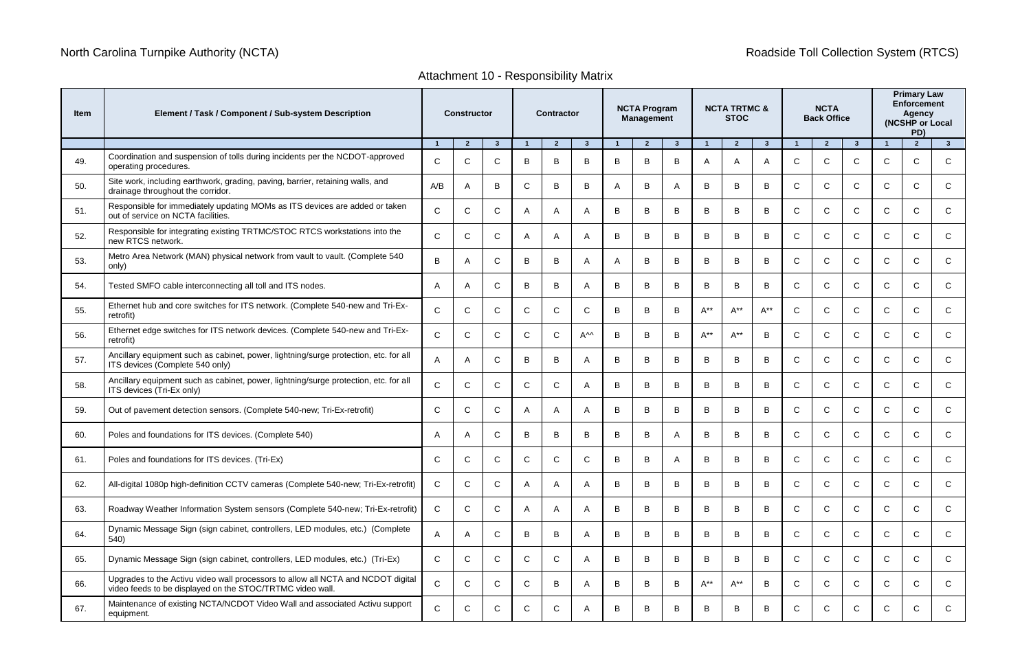### Attachment 10 - Responsibility Matrix

| ltem | Element / Task / Component / Sub-system Description                                                                                           |                | <b>Constructor</b> |              |              | <b>Contractor</b> |                    |   | <b>NCTA Program</b><br><b>Management</b> |              |          | <b>NCTA TRTMC &amp;</b><br><b>STOC</b> |             |              | <b>NCTA</b><br><b>Back Office</b> |              | <b>Primary Law</b><br><b>Enforcement</b><br><b>Agency</b><br>(NCSHP or Local<br>PD) |                |              |
|------|-----------------------------------------------------------------------------------------------------------------------------------------------|----------------|--------------------|--------------|--------------|-------------------|--------------------|---|------------------------------------------|--------------|----------|----------------------------------------|-------------|--------------|-----------------------------------|--------------|-------------------------------------------------------------------------------------|----------------|--------------|
|      |                                                                                                                                               | $\overline{1}$ | $\overline{2}$     | $\mathbf{3}$ |              | $\overline{2}$    | $\mathbf{3}$       |   | $\overline{2}$                           | $\mathbf{3}$ |          | $\overline{2}$                         | $3^{\circ}$ | -1           | $\overline{2}$                    | $\mathbf{3}$ | $\overline{1}$                                                                      | $\overline{2}$ | $\mathbf{3}$ |
| 49.  | Coordination and suspension of tolls during incidents per the NCDOT-approved<br>operating procedures.                                         | $\mathsf{C}$   |                    | C            | B            | B                 | B                  | B | В                                        | B            | A        | A                                      | A           | C            | $\mathsf{C}$                      | C            | $\mathsf{C}$                                                                        | C              | C            |
| 50.  | Site work, including earthwork, grading, paving, barrier, retaining walls, and<br>drainage throughout the corridor.                           | A/B            |                    | B            |              | B                 | В                  | A | B                                        | A            | B        | B                                      | B           | C            | $\mathsf{C}$                      | $\mathsf{C}$ | $\mathsf{C}$                                                                        | C              | $\mathsf{C}$ |
| 51.  | Responsible for immediately updating MOMs as ITS devices are added or taken<br>out of service on NCTA facilities.                             | $\mathsf{C}$   | $\mathsf{C}$       | $\mathsf{C}$ |              | A                 | A                  | B | В                                        | B            | B        | B                                      | B           | $\mathsf{C}$ | $\mathsf{C}$                      | $\mathsf{C}$ | $\mathsf{C}$                                                                        | C              | $\mathsf{C}$ |
| 52.  | Responsible for integrating existing TRTMC/STOC RTCS workstations into the<br>new RTCS network.                                               | $\mathsf{C}$   | C                  | $\mathsf{C}$ | А            | A                 | A                  | B | B                                        | B            | B        | B                                      | B           | C            | $\mathsf{C}$                      | $\mathsf{C}$ | $\mathsf{C}$                                                                        | C              | $\mathsf{C}$ |
| 53.  | Metro Area Network (MAN) physical network from vault to vault. (Complete 540<br>only)                                                         | B              |                    | $\mathsf{C}$ | B            | B                 | A                  | A | B                                        | B            | B        | B                                      | B           | $\mathsf{C}$ | $\mathsf{C}$                      | $\mathsf{C}$ | $\mathsf{C}$                                                                        | C              | $\mathsf{C}$ |
| 54.  | Tested SMFO cable interconnecting all toll and ITS nodes.                                                                                     | A              |                    | $\mathsf{C}$ | B            | B                 | A                  | B | B                                        | B            | B        | B                                      | B           | $\mathsf{C}$ | $\mathsf{C}$                      | $\mathsf{C}$ | $\mathsf{C}$                                                                        | C              | $\mathsf{C}$ |
| 55.  | Ethernet hub and core switches for ITS network. (Complete 540-new and Tri-Ex-<br>retrofit)                                                    | $\mathsf{C}$   |                    | $\mathsf{C}$ | $\mathbf{C}$ | $\mathsf{C}$      | $\mathsf{C}$       | B | B                                        | B            | $A^{**}$ | $A^{**}$                               | $A^{**}$    | C            | $\mathsf{C}$                      | $\mathsf{C}$ | $\mathsf{C}$                                                                        | C              | $\mathsf{C}$ |
| 56.  | Ethernet edge switches for ITS network devices. (Complete 540-new and Tri-Ex-<br>retrofit)                                                    | $\mathsf{C}$   | $\mathbf{C}$       | C            | $\mathsf{C}$ | C                 | $A^{\wedge\wedge}$ | B | B                                        | B            | $A^{**}$ | $A^{**}$                               | B           | C            | $\mathsf{C}$                      | C            | $\mathsf{C}$                                                                        | C              | C            |
| 57.  | Ancillary equipment such as cabinet, power, lightning/surge protection, etc. for all<br>ITS devices (Complete 540 only)                       | A              | A                  | $\mathsf{C}$ | B            | B                 | A                  | B | B                                        | B            | B        | B                                      | B           | $\mathsf{C}$ | $\mathsf{C}$                      | $\mathsf{C}$ | $\mathsf{C}$                                                                        | C              | $\mathsf{C}$ |
| 58.  | Ancillary equipment such as cabinet, power, lightning/surge protection, etc. for all<br>ITS devices (Tri-Ex only)                             | $\mathsf{C}$   | C                  | $\mathsf{C}$ | C            | C                 | $\mathsf{A}$       | B | B                                        | B            | B        | B                                      | B           | $\mathsf{C}$ | $\mathsf{C}$                      | C            | $\mathsf{C}$                                                                        | C              | C            |
| 59.  | Out of pavement detection sensors. (Complete 540-new; Tri-Ex-retrofit)                                                                        | C              | C.                 | $\mathsf{C}$ |              | A                 | A                  | B | B                                        | B            | B        | B                                      | B           | $\mathsf{C}$ | $\mathsf C$                       | $\mathsf{C}$ | $\mathsf{C}$                                                                        | C              | $\mathsf{C}$ |
| 60.  | Poles and foundations for ITS devices. (Complete 540)                                                                                         | A              |                    | $\mathsf{C}$ | B            | B                 | В                  | B | В                                        | A            | B        | B                                      | B           | $\mathsf{C}$ | $\mathsf{C}$                      | C            | $\mathsf{C}$                                                                        | C              | C            |
| 61.  | Poles and foundations for ITS devices. (Tri-Ex)                                                                                               | C              |                    | C            |              | C                 | C                  | в | в                                        | A            | в        | В                                      | в           |              | C                                 |              | C                                                                                   | C              | C            |
| 62.  | All-digital 1080p high-definition CCTV cameras (Complete 540-new; Tri-Ex-retrofit)                                                            | $\mathsf C$    | C                  | $\mathsf{C}$ | A            | $\mathsf{A}$      | A                  | B | B                                        | B            | B        | B                                      | B           | $\mathsf{C}$ | $\mathsf{C}$                      | $\mathsf{C}$ | $\mathsf{C}$                                                                        | $\mathsf{C}$   | $\mathsf{C}$ |
| 63.  | Roadway Weather Information System sensors (Complete 540-new; Tri-Ex-retrofit)                                                                | $\mathsf{C}$   | $\mathsf{C}$       | $\mathsf{C}$ |              | $\overline{A}$    | A                  | B | B                                        | B            | B        | B                                      | B           | $\mathsf{C}$ | $\mathsf{C}$                      | $\mathsf{C}$ | $\mathsf{C}$                                                                        | $\mathsf{C}$   | $\mathsf{C}$ |
| 64.  | Dynamic Message Sign (sign cabinet, controllers, LED modules, etc.) (Complete<br>540)                                                         | A              | A                  | $\mathsf{C}$ | B            | B                 | A                  | B | B                                        | B            | B        | B                                      | B           | $\mathsf{C}$ | $\mathsf{C}$                      | $\mathsf{C}$ | $\mathsf{C}$                                                                        | $\mathsf{C}$   | $\mathsf{C}$ |
| 65.  | Dynamic Message Sign (sign cabinet, controllers, LED modules, etc.) (Tri-Ex)                                                                  | $\mathsf C$    | C.                 | $\mathsf{C}$ | $\mathsf{C}$ | $\mathsf{C}$      | A                  | B | B                                        | B            | B        | B                                      | B           | $\mathsf{C}$ | $\mathsf{C}$                      | $\mathsf{C}$ | $\mathsf{C}$                                                                        | $\mathsf{C}$   | $\mathsf C$  |
| 66.  | Upgrades to the Activu video wall processors to allow all NCTA and NCDOT digital<br>video feeds to be displayed on the STOC/TRTMC video wall. | $\mathsf{C}$   | $\mathsf C$        | $\mathsf{C}$ | $\mathsf{C}$ | B                 | A                  | B | B                                        | B            | $A^{**}$ | $A^{**}$                               | B           | $\mathsf{C}$ | $\mathsf{C}$                      | $\mathsf{C}$ | $\mathsf{C}$                                                                        | $\mathsf{C}$   | $\mathsf{C}$ |
| 67.  | Maintenance of existing NCTA/NCDOT Video Wall and associated Activu support<br>equipment.                                                     | $\mathsf{C}$   | $\mathsf{C}$       | $\mathsf C$  | $\mathsf{C}$ | $\mathsf{C}$      | A                  | B | B                                        | В            | B        | B                                      | B           | $\mathsf C$  | $\mathsf{C}$                      | C            | $\mathsf{C}$                                                                        | C              | $\mathsf{C}$ |